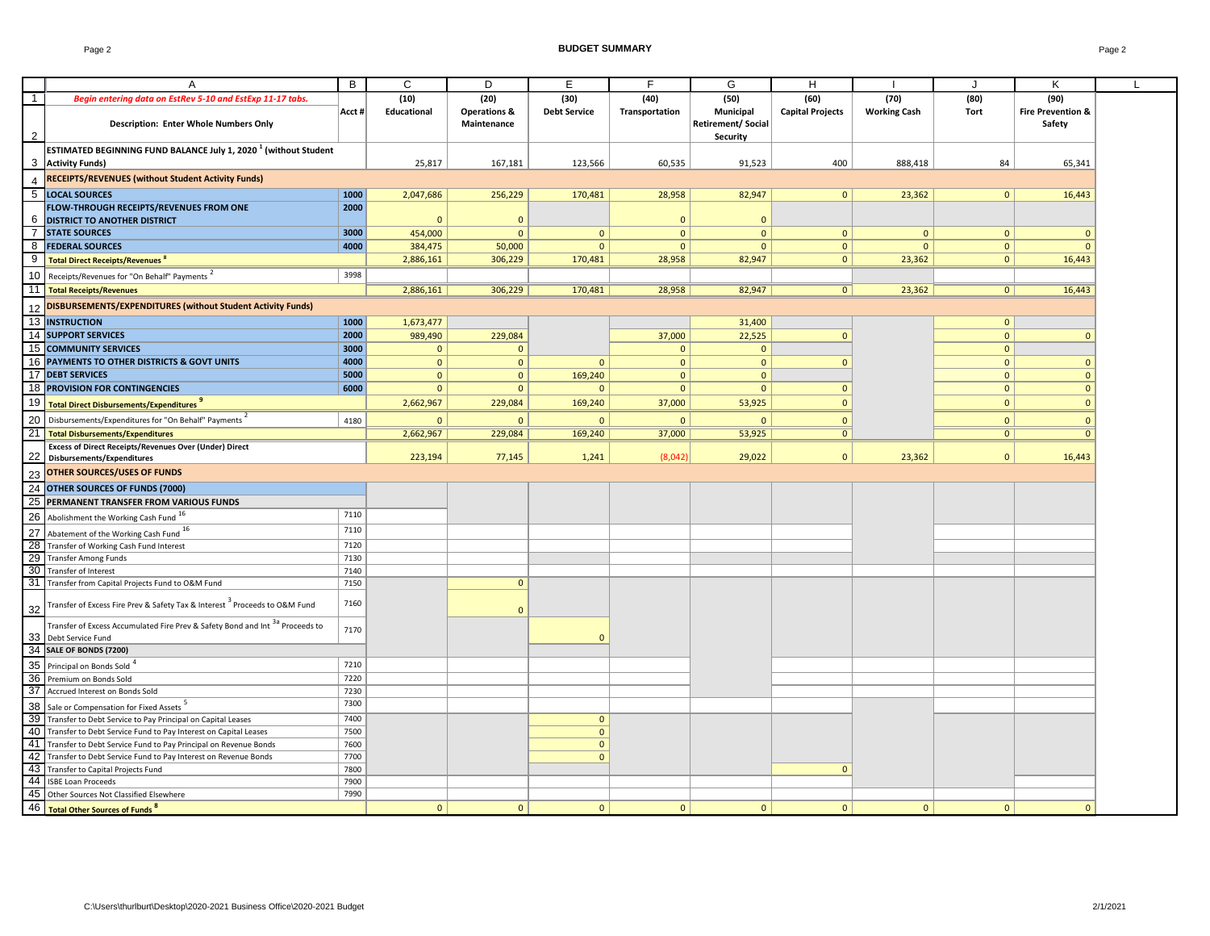Page 2 **BUDGET SUMMARY** Page 2

|                | A                                                                                        | B      | $\mathsf{C}$   | D                       | Ε                   | F              | G                        | H                       |                     | J              | K                            |  |
|----------------|------------------------------------------------------------------------------------------|--------|----------------|-------------------------|---------------------|----------------|--------------------------|-------------------------|---------------------|----------------|------------------------------|--|
| $\overline{1}$ | Begin entering data on EstRev 5-10 and EstExp 11-17 tabs.                                |        | (10)           | (20)                    | (30)                | (40)           | (50)                     | (60)                    | (70)                | (80)           | (90)                         |  |
|                |                                                                                          | Acct # | Educational    | <b>Operations &amp;</b> | <b>Debt Service</b> | Transportation | Municipal                | <b>Capital Projects</b> | <b>Working Cash</b> | <b>Tort</b>    | <b>Fire Prevention &amp;</b> |  |
|                | <b>Description: Enter Whole Numbers Only</b>                                             |        |                | Maintenance             |                     |                | <b>Retirement/Social</b> |                         |                     |                | Safety                       |  |
|                |                                                                                          |        |                |                         |                     |                | <b>Security</b>          |                         |                     |                |                              |  |
|                | ESTIMATED BEGINNING FUND BALANCE July 1, 2020 <sup>1</sup> (without Student              |        |                |                         |                     |                |                          |                         |                     |                |                              |  |
|                |                                                                                          |        | 25,817         | 167,181                 | 123,566             | 60,535         | 91,523                   | 400                     |                     | 84             |                              |  |
|                | 3 Activity Funds)                                                                        |        |                |                         |                     |                |                          |                         | 888,418             |                | 65,341                       |  |
| $\overline{4}$ | <b>RECEIPTS/REVENUES (without Student Activity Funds)</b>                                |        |                |                         |                     |                |                          |                         |                     |                |                              |  |
|                | 5 LOCAL SOURCES                                                                          | 1000   | 2,047,686      | 256,229                 | 170,481             | 28,958         | 82,947                   | $\mathbf{0}$            | 23,362              | $\mathbf{0}$   | 16,443                       |  |
|                | FLOW-THROUGH RECEIPTS/REVENUES FROM ONE                                                  | 2000   |                |                         |                     |                |                          |                         |                     |                |                              |  |
|                | 6 DISTRICT TO ANOTHER DISTRICT                                                           |        | $\Omega$       | $\mathbf{0}$            |                     | $\mathbf{0}$   | $\mathbf{0}$             |                         |                     |                |                              |  |
|                | <b>7 STATE SOURCES</b>                                                                   | 3000   | 454,000        | $\mathbf{0}$            | $\mathbf{0}$        | $\mathbf{0}$   | $\mathbf 0$              | $\mathbf{0}$            | $\mathbf 0$         | $\mathbf{0}$   | $\mathbf{0}$                 |  |
|                | 8 <b>FEDERAL SOURCES</b>                                                                 | 4000   | 384,475        | 50,000                  | $\mathbf{0}$        | $\mathbf{0}$   | $\mathbf{0}$             | $\mathbf{0}$            | $\overline{0}$      | $\mathbf{0}$   | $\Omega$                     |  |
|                |                                                                                          |        | 2,886,161      | 306,229                 | 170,481             | 28,958         | 82,947                   | $\mathbf{0}$            | 23,362              | $\mathbf{0}$   | 16,443                       |  |
|                | 9 Total Direct Receipts/Revenues <sup>8</sup>                                            |        |                |                         |                     |                |                          |                         |                     |                |                              |  |
|                | 10 Receipts/Revenues for "On Behalf" Payments <sup>2</sup>                               | 3998   |                |                         |                     |                |                          |                         |                     |                |                              |  |
|                | 11 Total Receipts/Revenues                                                               |        | 2,886,161      | 306,229                 | 170,481             | 28,958         | 82,947                   | 0                       | 23,362              | $\overline{0}$ | 16,443                       |  |
| 12             | DISBURSEMENTS/EXPENDITURES (without Student Activity Funds)                              |        |                |                         |                     |                |                          |                         |                     |                |                              |  |
|                |                                                                                          |        |                |                         |                     |                |                          |                         |                     |                |                              |  |
|                | 13 INSTRUCTION                                                                           | 1000   | 1,673,477      |                         |                     |                | 31,400                   |                         |                     | $\mathbf{0}$   |                              |  |
|                | 14 SUPPORT SERVICES                                                                      | 2000   | 989,490        | 229,084                 |                     | 37,000         | 22,525                   | $\mathbf 0$             |                     | $\mathbf{0}$   | $\mathbf{0}$                 |  |
|                | 15 COMMUNITY SERVICES                                                                    | 3000   | $\mathbf{0}$   | $\mathbf{0}$            |                     | $\mathbf{0}$   | $\mathbf{0}$             |                         |                     | $\mathbf{0}$   |                              |  |
|                | 16 PAYMENTS TO OTHER DISTRICTS & GOVT UNITS                                              | 4000   | $\mathbf{0}$   | $\mathbf 0$             | $\mathbf 0$         | $\mathbf{0}$   | $\mathbf 0$              | $\Omega$                |                     | $\mathbf 0$    | $\mathbf{0}$                 |  |
|                | 17 DEBT SERVICES                                                                         | 5000   | $\Omega$       | $\mathbf{0}$            | 169,240             | $\mathbf{0}$   | $\mathbf 0$              |                         |                     | $\mathbf{0}$   | $\mathbf{0}$                 |  |
|                | 18 PROVISION FOR CONTINGENCIES                                                           | 6000   | $\mathbf{0}$   | $\mathbf{0}$            | $\mathbf{0}$        | $\mathbf{0}$   | $\mathbf{0}$             | $\mathbf{0}$            |                     | $\mathbf{0}$   | $\mathbf{0}$                 |  |
|                | 19 Total Direct Disbursements/Expenditures <sup>3</sup>                                  |        | 2,662,967      | 229,084                 | 169,240             | 37,000         | 53,925                   | $\mathbf{0}$            |                     | $\mathbf{0}$   | $\mathbf{0}$                 |  |
|                |                                                                                          |        |                |                         |                     |                |                          |                         |                     |                |                              |  |
|                | 20 Disbursements/Expenditures for "On Behalf" Payments <sup>2</sup>                      | 4180   | $\mathbf{0}$   | $\mathbf{0}$            | $\mathbf 0$         | $\mathbf 0$    | $\Omega$                 | $\mathbf 0$             |                     | $\mathbf{0}$   | $\mathbf 0$                  |  |
|                | 21 Total Disbursements/Expenditures                                                      |        | 2,662,967      | 229,084                 | 169,240             | 37,000         | 53,925                   | $\overline{0}$          |                     | $\mathbf{0}$   | $\overline{0}$               |  |
|                | <b>Excess of Direct Receipts/Revenues Over (Under) Direct</b>                            |        |                |                         |                     |                |                          |                         |                     |                |                              |  |
|                | 22 Disbursements/Expenditures                                                            |        | 223,194        | 77,145                  | 1,241               | (8,042)        | 29,022                   | $\mathbf 0$             | 23,362              | $\mathbf{0}$   | 16,443                       |  |
|                | 23 OTHER SOURCES/USES OF FUNDS                                                           |        |                |                         |                     |                |                          |                         |                     |                |                              |  |
|                | 24 OTHER SOURCES OF FUNDS (7000)                                                         |        |                |                         |                     |                |                          |                         |                     |                |                              |  |
|                | 25 PERMANENT TRANSFER FROM VARIOUS FUNDS                                                 |        |                |                         |                     |                |                          |                         |                     |                |                              |  |
|                |                                                                                          | 7110   |                |                         |                     |                |                          |                         |                     |                |                              |  |
|                | 26 Abolishment the Working Cash Fund 16                                                  |        |                |                         |                     |                |                          |                         |                     |                |                              |  |
|                | 27 Abatement of the Working Cash Fund 16                                                 | 7110   |                |                         |                     |                |                          |                         |                     |                |                              |  |
|                | 28 Transfer of Working Cash Fund Interest                                                | 7120   |                |                         |                     |                |                          |                         |                     |                |                              |  |
| 29             | <b>Transfer Among Funds</b>                                                              | 7130   |                |                         |                     |                |                          |                         |                     |                |                              |  |
|                | 30 Transfer of Interest                                                                  | 7140   |                |                         |                     |                |                          |                         |                     |                |                              |  |
|                | 31 Transfer from Capital Projects Fund to O&M Fund                                       | 7150   |                | $\mathbf 0$             |                     |                |                          |                         |                     |                |                              |  |
|                |                                                                                          |        |                |                         |                     |                |                          |                         |                     |                |                              |  |
| 32             | Transfer of Excess Fire Prev & Safety Tax & Interest <sup>3</sup> Proceeds to O&M Fund   | 7160   |                | $\Omega$                |                     |                |                          |                         |                     |                |                              |  |
|                | Transfer of Excess Accumulated Fire Prev & Safety Bond and Int <sup>3a</sup> Proceeds to |        |                |                         |                     |                |                          |                         |                     |                |                              |  |
|                | 33 Debt Service Fund                                                                     | 7170   |                |                         | $\Omega$            |                |                          |                         |                     |                |                              |  |
|                | 34 SALE OF BONDS (7200)                                                                  |        |                |                         |                     |                |                          |                         |                     |                |                              |  |
|                |                                                                                          |        |                |                         |                     |                |                          |                         |                     |                |                              |  |
|                | 35 Principal on Bonds Sold <sup>4</sup>                                                  | 7210   |                |                         |                     |                |                          |                         |                     |                |                              |  |
|                | 36 Premium on Bonds Sold                                                                 | 7220   |                |                         |                     |                |                          |                         |                     |                |                              |  |
|                | 37 Accrued Interest on Bonds Sold                                                        | 7230   |                |                         |                     |                |                          |                         |                     |                |                              |  |
|                | 38 Sale or Compensation for Fixed Assets <sup>5</sup>                                    | 7300   |                |                         |                     |                |                          |                         |                     |                |                              |  |
| 39             | Transfer to Debt Service to Pay Principal on Capital Leases                              | 7400   |                |                         | $\mathbf{0}$        |                |                          |                         |                     |                |                              |  |
|                | 40 Transfer to Debt Service Fund to Pay Interest on Capital Leases                       | 7500   |                |                         | $\mathbf{0}$        |                |                          |                         |                     |                |                              |  |
|                | 41 Transfer to Debt Service Fund to Pay Principal on Revenue Bonds                       | 7600   |                |                         | $\mathbf{0}$        |                |                          |                         |                     |                |                              |  |
|                | 42 Transfer to Debt Service Fund to Pay Interest on Revenue Bonds                        | 7700   |                |                         | $\mathbf{0}$        |                |                          |                         |                     |                |                              |  |
| 43             | Transfer to Capital Projects Fund                                                        | 7800   |                |                         |                     |                |                          | $\mathbf{0}$            |                     |                |                              |  |
| 44             | <b>ISBE Loan Proceeds</b>                                                                | 7900   |                |                         |                     |                |                          |                         |                     |                |                              |  |
| 45             | Other Sources Not Classified Elsewhere                                                   | 7990   |                |                         |                     |                |                          |                         |                     |                |                              |  |
| 46             |                                                                                          |        | $\overline{0}$ |                         |                     | 0              |                          |                         |                     |                | $\mathbf{0}$                 |  |
|                | <b>Total Other Sources of Funds<sup>8</sup></b>                                          |        |                | $\mathbf 0$             | $\mathbf 0$         |                | $\mathbf 0$              | $\mathbf{0}$            | $\mathbf 0$         | $\mathbf{0}$   |                              |  |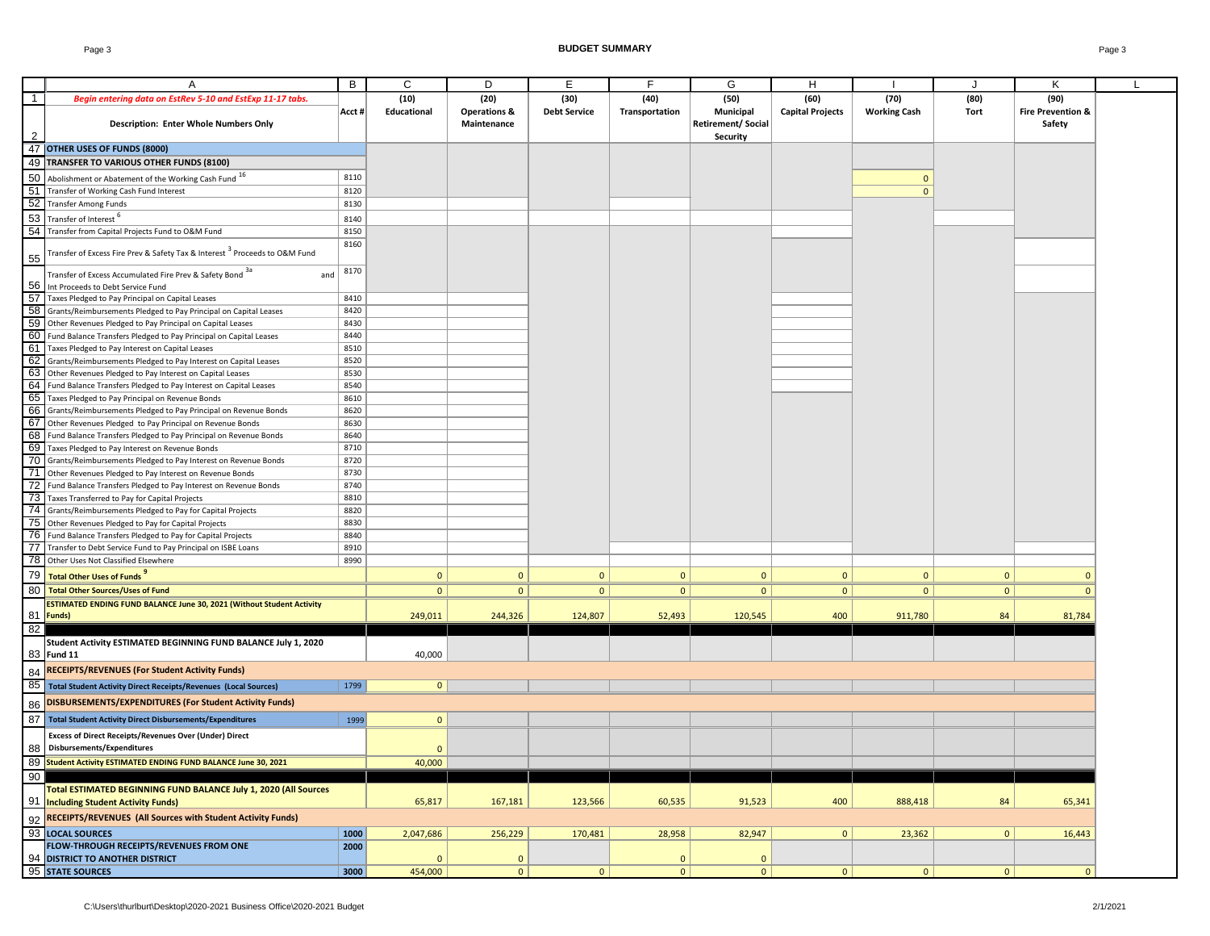|                | Α                                                                                                                                    | B            | C              | D                       | E                   | F.             | G                        | H                       | $\mathbf{I}$        | J            | Κ                            | L |
|----------------|--------------------------------------------------------------------------------------------------------------------------------------|--------------|----------------|-------------------------|---------------------|----------------|--------------------------|-------------------------|---------------------|--------------|------------------------------|---|
| $\overline{1}$ | Begin entering data on EstRev 5-10 and EstExp 11-17 tabs.                                                                            |              | (10)           | (20)                    | (30)                | (40)           | (50)                     | (60)                    | (70)                | (80)         | (90)                         |   |
|                |                                                                                                                                      | Acct #       | Educational    | <b>Operations &amp;</b> | <b>Debt Service</b> | Transportation | Municipal                | <b>Capital Projects</b> | <b>Working Cash</b> | Tort         | <b>Fire Prevention &amp;</b> |   |
|                | <b>Description: Enter Whole Numbers Only</b>                                                                                         |              |                | Maintenance             |                     |                | <b>Retirement/Social</b> |                         |                     |              | Safety                       |   |
|                |                                                                                                                                      |              |                |                         |                     |                | <b>Security</b>          |                         |                     |              |                              |   |
|                | 47 OTHER USES OF FUNDS (8000)                                                                                                        |              |                |                         |                     |                |                          |                         |                     |              |                              |   |
|                | 49 TRANSFER TO VARIOUS OTHER FUNDS (8100)                                                                                            |              |                |                         |                     |                |                          |                         |                     |              |                              |   |
|                | 50 Abolishment or Abatement of the Working Cash Fund 16                                                                              | 8110         |                |                         |                     |                |                          |                         | $\mathbf{0}$        |              |                              |   |
|                | 51 Transfer of Working Cash Fund Interest                                                                                            | 8120         |                |                         |                     |                |                          |                         | $\Omega$            |              |                              |   |
|                | 52 Transfer Among Funds                                                                                                              | 8130         |                |                         |                     |                |                          |                         |                     |              |                              |   |
|                | 53 Transfer of Interest <sup>6</sup>                                                                                                 | 8140         |                |                         |                     |                |                          |                         |                     |              |                              |   |
|                | 54 Transfer from Capital Projects Fund to O&M Fund                                                                                   | 8150         |                |                         |                     |                |                          |                         |                     |              |                              |   |
| 55             | Transfer of Excess Fire Prev & Safety Tax & Interest <sup>3</sup> Proceeds to O&M Fund                                               | 8160         |                |                         |                     |                |                          |                         |                     |              |                              |   |
|                | Transfer of Excess Accumulated Fire Prev & Safety Bond 3a<br>and                                                                     | 8170         |                |                         |                     |                |                          |                         |                     |              |                              |   |
|                | 56 Int Proceeds to Debt Service Fund                                                                                                 |              |                |                         |                     |                |                          |                         |                     |              |                              |   |
|                | 57 Taxes Pledged to Pay Principal on Capital Leases                                                                                  | 8410         |                |                         |                     |                |                          |                         |                     |              |                              |   |
|                | 58 Grants/Reimbursements Pledged to Pay Principal on Capital Leases                                                                  | 8420         |                |                         |                     |                |                          |                         |                     |              |                              |   |
|                | 59 Other Revenues Pledged to Pay Principal on Capital Leases                                                                         | 8430         |                |                         |                     |                |                          |                         |                     |              |                              |   |
|                | 60 Fund Balance Transfers Pledged to Pay Principal on Capital Leases                                                                 | 8440         |                |                         |                     |                |                          |                         |                     |              |                              |   |
|                | 61 Taxes Pledged to Pay Interest on Capital Leases                                                                                   | 8510         |                |                         |                     |                |                          |                         |                     |              |                              |   |
|                | 62 Grants/Reimbursements Pledged to Pay Interest on Capital Leases                                                                   | 8520         |                |                         |                     |                |                          |                         |                     |              |                              |   |
|                | 63 Other Revenues Pledged to Pay Interest on Capital Leases                                                                          | 8530         |                |                         |                     |                |                          |                         |                     |              |                              |   |
|                | 64 Fund Balance Transfers Pledged to Pay Interest on Capital Leases                                                                  | 8540         |                |                         |                     |                |                          |                         |                     |              |                              |   |
|                | 65 Taxes Pledged to Pay Principal on Revenue Bonds                                                                                   | 8610         |                |                         |                     |                |                          |                         |                     |              |                              |   |
|                | 66 Grants/Reimbursements Pledged to Pay Principal on Revenue Bonds                                                                   | 8620         |                |                         |                     |                |                          |                         |                     |              |                              |   |
|                | 67 Other Revenues Pledged to Pay Principal on Revenue Bonds                                                                          | 8630         |                |                         |                     |                |                          |                         |                     |              |                              |   |
|                | 68 Fund Balance Transfers Pledged to Pay Principal on Revenue Bonds                                                                  | 8640         |                |                         |                     |                |                          |                         |                     |              |                              |   |
|                | 69 Taxes Pledged to Pay Interest on Revenue Bonds                                                                                    | 8710         |                |                         |                     |                |                          |                         |                     |              |                              |   |
|                | 70 Grants/Reimbursements Pledged to Pay Interest on Revenue Bonds                                                                    | 8720<br>8730 |                |                         |                     |                |                          |                         |                     |              |                              |   |
|                | 71 Other Revenues Pledged to Pay Interest on Revenue Bonds                                                                           |              |                |                         |                     |                |                          |                         |                     |              |                              |   |
|                | 72 Fund Balance Transfers Pledged to Pay Interest on Revenue Bonds<br>73 Taxes Transferred to Pay for Capital Projects               | 8740<br>8810 |                |                         |                     |                |                          |                         |                     |              |                              |   |
|                | 74 Grants/Reimbursements Pledged to Pay for Capital Projects                                                                         | 8820         |                |                         |                     |                |                          |                         |                     |              |                              |   |
|                | 75 Other Revenues Pledged to Pay for Capital Projects                                                                                | 8830         |                |                         |                     |                |                          |                         |                     |              |                              |   |
|                | 76 Fund Balance Transfers Pledged to Pay for Capital Projects                                                                        | 8840         |                |                         |                     |                |                          |                         |                     |              |                              |   |
|                | 77 Transfer to Debt Service Fund to Pay Principal on ISBE Loans                                                                      | 8910         |                |                         |                     |                |                          |                         |                     |              |                              |   |
|                | 78 Other Uses Not Classified Elsewhere                                                                                               | 8990         |                |                         |                     |                |                          |                         |                     |              |                              |   |
| 79             | Total Other Uses of Funds                                                                                                            |              | $\mathbf{0}$   |                         | $\mathbf{0}$        | $\mathbf{0}$   | $\mathbf{0}$             |                         | $\mathbf{0}$        | $\mathbf{0}$ | $\overline{0}$               |   |
|                |                                                                                                                                      |              |                | $\mathbf{0}$            |                     |                |                          | $\mathbf{0}$            |                     |              |                              |   |
| 80             | <b>Total Other Sources/Uses of Fund</b>                                                                                              |              | $\mathbf{0}$   | $\overline{0}$          | $\mathbf{0}$        | $\mathbf{0}$   | $\mathbf{0}$             | $\mathbf{0}$            | $\mathbf{0}$        | $\mathbf{0}$ | $\mathbf{0}$                 |   |
|                | ESTIMATED ENDING FUND BALANCE June 30, 2021 (Without Student Activity<br>81 Funds)                                                   |              |                |                         |                     |                |                          |                         |                     |              |                              |   |
|                |                                                                                                                                      |              | 249,011        | 244,326                 | 124,807             | 52,493         | 120,545                  | 400                     | 911,780             | 84           | 81,784                       |   |
| 82             |                                                                                                                                      |              |                |                         |                     |                |                          |                         |                     |              |                              |   |
|                | Student Activity ESTIMATED BEGINNING FUND BALANCE July 1, 2020<br>83 Fund 11                                                         |              | 40,000         |                         |                     |                |                          |                         |                     |              |                              |   |
|                | 84 RECEIPTS/REVENUES (For Student Activity Funds)                                                                                    |              |                |                         |                     |                |                          |                         |                     |              |                              |   |
|                |                                                                                                                                      |              | $\mathbf{0}$   |                         |                     |                |                          |                         |                     |              |                              |   |
|                | 85 Total Student Activity Direct Receipts/Revenues (Local Sources)<br><b>DISBURSEMENTS/EXPENDITURES (For Student Activity Funds)</b> | 1799         |                |                         |                     |                |                          |                         |                     |              |                              |   |
| 86             |                                                                                                                                      |              |                |                         |                     |                |                          |                         |                     |              |                              |   |
|                | 87 Total Student Activity Direct Disbursements/Expenditures                                                                          | 1999         | $\mathbf{0}$   |                         |                     |                |                          |                         |                     |              |                              |   |
|                | <b>Excess of Direct Receipts/Revenues Over (Under) Direct</b><br>88 Disbursements/Expenditures                                       |              | $\overline{0}$ |                         |                     |                |                          |                         |                     |              |                              |   |
|                | 89 Student Activity ESTIMATED ENDING FUND BALANCE June 30, 2021                                                                      |              | 40,000         |                         |                     |                |                          |                         |                     |              |                              |   |
| 90             |                                                                                                                                      |              |                |                         |                     |                |                          |                         |                     |              |                              |   |
|                | Total ESTIMATED BEGINNING FUND BALANCE July 1, 2020 (All Sources<br>91 Including Student Activity Funds)                             |              | 65,817         | 167,181                 | 123,566             | 60,535         | 91,523                   | 400                     | 888,418             | 84           | 65,341                       |   |
|                | 92 RECEIPTS/REVENUES (All Sources with Student Activity Funds)                                                                       |              |                |                         |                     |                |                          |                         |                     |              |                              |   |
|                | 93 LOCAL SOURCES                                                                                                                     | 1000         | 2,047,686      | 256,229                 | 170,481             | 28,958         | 82,947                   | 0                       | 23,362              | 0            | 16,443                       |   |
|                | FLOW-THROUGH RECEIPTS/REVENUES FROM ONE                                                                                              | 2000         |                |                         |                     |                |                          |                         |                     |              |                              |   |
|                | 94 DISTRICT TO ANOTHER DISTRICT                                                                                                      |              | $\Omega$       | $\mathbf 0$             |                     | $\mathbf 0$    | $\mathbf{0}$             |                         |                     |              |                              |   |
|                | 95 STATE SOURCES                                                                                                                     | 3000         | 454,000        | 0                       | $\mathbf 0$         | $\mathbf{0}$   | 0                        | 0                       | 0                   | 0            | $\mathbf{0}$                 |   |
|                |                                                                                                                                      |              |                |                         |                     |                |                          |                         |                     |              |                              |   |